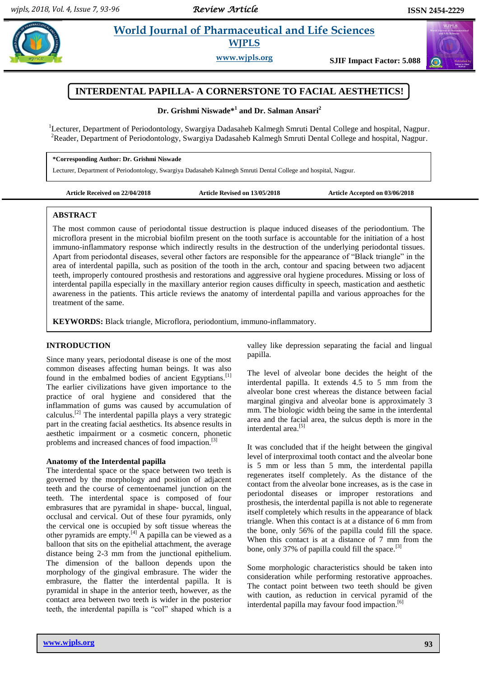$\left(\mathbf{u}\right)$ 

# **Paramaceutical and Life Sciences WJPLS**

**www.wjpls.org SJIF Impact Factor: 5.088**



**Dr. Grishmi Niswade\* 1 and Dr. Salman Ansari<sup>2</sup>**

<sup>1</sup>Lecturer, Department of Periodontology, Swargiya Dadasaheb Kalmegh Smruti Dental College and hospital, Nagpur. <sup>2</sup>Reader, Department of Periodontology, Swargiya Dadasaheb Kalmegh Smruti Dental College and hospital, Nagpur.

#### **\*Corresponding Author: Dr. Grishmi Niswade**

Lecturer, Department of Periodontology, Swargiya Dadasaheb Kalmegh Smruti Dental College and hospital, Nagpur.

**Article Received on 22/04/2018 Article Revised on 13/05/2018 Article Accepted on 03/06/2018**

#### **ABSTRACT**

The most common cause of periodontal tissue destruction is plaque induced diseases of the periodontium. The microflora present in the microbial biofilm present on the tooth surface is accountable for the initiation of a host immuno-inflammatory response which indirectly results in the destruction of the underlying periodontal tissues. Apart from periodontal diseases, several other factors are responsible for the appearance of "Black triangle" in the area of interdental papilla, such as position of the tooth in the arch, contour and spacing between two adjacent teeth, improperly contoured prosthesis and restorations and aggressive oral hygiene procedures. Missing or loss of interdental papilla especially in the maxillary anterior region causes difficulty in speech, mastication and aesthetic awareness in the patients. This article reviews the anatomy of interdental papilla and various approaches for the treatment of the same.

**KEYWORDS:** Black triangle, Microflora, periodontium, immuno-inflammatory.

#### **INTRODUCTION**

Since many years, periodontal disease is one of the most common diseases affecting human beings. It was also found in the embalmed bodies of ancient Egyptians.<sup>[1]</sup> The earlier civilizations have given importance to the practice of oral hygiene and considered that the inflammation of gums was caused by accumulation of calculus.<sup>[2]</sup> The interdental papilla plays a very strategic part in the creating facial aesthetics. Its absence results in aesthetic impairment or a cosmetic concern, phonetic problems and increased chances of food impaction.<sup>[3]</sup>

#### **Anatomy of the Interdental papilla**

The interdental space or the space between two teeth is governed by the morphology and position of adjacent teeth and the course of cementoenamel junction on the teeth. The interdental space is composed of four embrasures that are pyramidal in shape- buccal, lingual, occlusal and cervical. Out of these four pyramids, only the cervical one is occupied by soft tissue whereas the other pyramids are empty.[4] A papilla can be viewed as a balloon that sits on the epithelial attachment, the average distance being 2-3 mm from the junctional epithelium. The dimension of the balloon depends upon the morphology of the gingival embrasure. The wider the embrasure, the flatter the interdental papilla. It is pyramidal in shape in the anterior teeth, however, as the contact area between two teeth is wider in the posterior teeth, the interdental papilla is "col" shaped which is a

valley like depression separating the facial and lingual papilla.

The level of alveolar bone decides the height of the interdental papilla. It extends 4.5 to 5 mm from the alveolar bone crest whereas the distance between facial marginal gingiva and alveolar bone is approximately 3 mm. The biologic width being the same in the interdental area and the facial area, the sulcus depth is more in the interdental area.<sup>[5]</sup>

It was concluded that if the height between the gingival level of interproximal tooth contact and the alveolar bone is 5 mm or less than 5 mm, the interdental papilla regenerates itself completely. As the distance of the contact from the alveolar bone increases, as is the case in periodontal diseases or improper restorations and prosthesis, the interdental papilla is not able to regenerate itself completely which results in the appearance of black triangle. When this contact is at a distance of 6 mm from the bone, only 56% of the papilla could fill the space. When this contact is at a distance of 7 mm from the bone, only 37% of papilla could fill the space.  $[3]$ 

Some morphologic characteristics should be taken into consideration while performing restorative approaches. The contact point between two teeth should be given with caution, as reduction in cervical pyramid of the interdental papilla may favour food impaction. [6]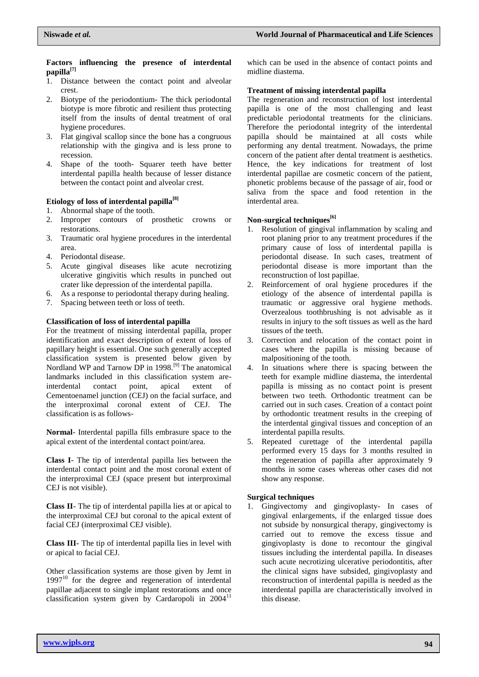#### **Factors influencing the presence of interdental papilla[7]**

- 1. Distance between the contact point and alveolar crest.
- 2. Biotype of the periodontium- The thick periodontal biotype is more fibrotic and resilient thus protecting itself from the insults of dental treatment of oral hygiene procedures.
- 3. Flat gingival scallop since the bone has a congruous relationship with the gingiva and is less prone to recession.
- 4. Shape of the tooth- Squarer teeth have better interdental papilla health because of lesser distance between the contact point and alveolar crest.

## **Etiology of loss of interdental papilla[8]**

- 1. Abnormal shape of the tooth.
- 2. Improper contours of prosthetic crowns or restorations.
- 3. Traumatic oral hygiene procedures in the interdental area.
- 4. Periodontal disease.
- 5. Acute gingival diseases like acute necrotizing ulcerative gingivitis which results in punched out crater like depression of the interdental papilla.
- 6. As a response to periodontal therapy during healing.
- 7. Spacing between teeth or loss of teeth.

### **Classification of loss of interdental papilla**

For the treatment of missing interdental papilla, proper identification and exact description of extent of loss of papillary height is essential. One such generally accepted classification system is presented below given by Nordland WP and Tarnow DP in 1998.<sup>[9]</sup> The anatomical landmarks included in this classification system areinterdental contact point, apical extent of Cementoenamel junction (CEJ) on the facial surface, and the interproximal coronal extent of CEJ. The classification is as follows-

**Normal**- Interdental papilla fills embrasure space to the apical extent of the interdental contact point/area.

**Class I**- The tip of interdental papilla lies between the interdental contact point and the most coronal extent of the interproximal CEJ (space present but interproximal CEJ is not visible).

**Class II**- The tip of interdental papilla lies at or apical to the interproximal CEJ but coronal to the apical extent of facial CEJ (interproximal CEJ visible).

**Class III-** The tip of interdental papilla lies in level with or apical to facial CEJ.

Other classification systems are those given by Jemt in  $1997<sup>10</sup>$  for the degree and regeneration of interdental papillae adjacent to single implant restorations and once classification system given by Cardaropoli in  $2004<sup>11</sup>$ 

which can be used in the absence of contact points and midline diastema.

### **Treatment of missing interdental papilla**

The regeneration and reconstruction of lost interdental papilla is one of the most challenging and least predictable periodontal treatments for the clinicians. Therefore the periodontal integrity of the interdental papilla should be maintained at all costs while performing any dental treatment. Nowadays, the prime concern of the patient after dental treatment is aesthetics. Hence, the key indications for treatment of lost interdental papillae are cosmetic concern of the patient, phonetic problems because of the passage of air, food or saliva from the space and food retention in the interdental area.

### **Non-surgical techniques[6]**

- 1. Resolution of gingival inflammation by scaling and root planing prior to any treatment procedures if the primary cause of loss of interdental papilla is periodontal disease. In such cases, treatment of periodontal disease is more important than the reconstruction of lost papillae.
- 2. Reinforcement of oral hygiene procedures if the etiology of the absence of interdental papilla is traumatic or aggressive oral hygiene methods. Overzealous toothbrushing is not advisable as it results in injury to the soft tissues as well as the hard tissues of the teeth.
- 3. Correction and relocation of the contact point in cases where the papilla is missing because of malpositioning of the tooth.
- 4. In situations where there is spacing between the teeth for example midline diastema, the interdental papilla is missing as no contact point is present between two teeth. Orthodontic treatment can be carried out in such cases. Creation of a contact point by orthodontic treatment results in the creeping of the interdental gingival tissues and conception of an interdental papilla results.
- 5. Repeated curettage of the interdental papilla performed every 15 days for 3 months resulted in the regeneration of papilla after approximately 9 months in some cases whereas other cases did not show any response.

## **Surgical techniques**

1. Gingivectomy and gingivoplasty- In cases of gingival enlargements, if the enlarged tissue does not subside by nonsurgical therapy, gingivectomy is carried out to remove the excess tissue and gingivoplasty is done to recontour the gingival tissues including the interdental papilla. In diseases such acute necrotizing ulcerative periodontitis, after the clinical signs have subsided, gingivoplasty and reconstruction of interdental papilla is needed as the interdental papilla are characteristically involved in this disease.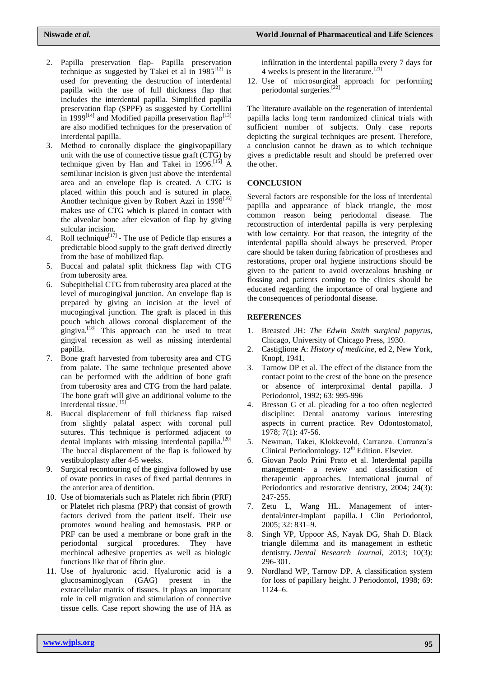- 2. Papilla preservation flap- Papilla preservation technique as suggested by Takei et al in  $1985^{[12]}$  is used for preventing the destruction of interdental papilla with the use of full thickness flap that includes the interdental papilla. Simplified papilla preservation flap (SPPF) as suggested by Cortellini in 1999 $^{[14]}$  and Modified papilla preservation flap $^{[13]}$ are also modified techniques for the preservation of interdental papilla.
- 3. Method to coronally displace the gingivopapillary unit with the use of connective tissue graft (CTG) by technique given by Han and Takei in  $1996$ .<sup>[15]</sup> A semilunar incision is given just above the interdental area and an envelope flap is created. A CTG is placed within this pouch and is sutured in place. Another technique given by Robert Azzi in  $1998^{[16]}$ makes use of CTG which is placed in contact with the alveolar bone after elevation of flap by giving sulcular incision.
- 4. Roll technique<sup>[17]</sup> The use of Pedicle flap ensures a predictable blood supply to the graft derived directly from the base of mobilized flap.
- 5. Buccal and palatal split thickness flap with CTG from tuberosity area.
- 6. Subepithelial CTG from tuberosity area placed at the level of mucogingival junction. An envelope flap is prepared by giving an incision at the level of mucogingival junction. The graft is placed in this pouch which allows coronal displacement of the gingiva.[18] This approach can be used to treat gingival recession as well as missing interdental papilla.
- 7. Bone graft harvested from tuberosity area and CTG from palate. The same technique presented above can be performed with the addition of bone graft from tuberosity area and CTG from the hard palate. The bone graft will give an additional volume to the interdental tissue.<sup>[19]</sup>
- 8. Buccal displacement of full thickness flap raised from slightly palatal aspect with coronal pull sutures. This technique is performed adjacent to dental implants with missing interdental papilla.<sup>[20]</sup> The buccal displacement of the flap is followed by vestibuloplasty after 4-5 weeks.
- 9. Surgical recontouring of the gingiva followed by use of ovate pontics in cases of fixed partial dentures in the anterior area of dentition.
- 10. Use of biomaterials such as Platelet rich fibrin (PRF) or Platelet rich plasma (PRP) that consist of growth factors derived from the patient itself. Their use promotes wound healing and hemostasis. PRP or PRF can be used a membrane or bone graft in the periodontal surgical procedures. They have mechincal adhesive properties as well as biologic functions like that of fibrin glue.
- 11. Use of hyaluronic acid. Hyaluronic acid is a glucosaminoglycan (GAG) present in the extracellular matrix of tissues. It plays an important role in cell migration and stimulation of connective tissue cells. Case report showing the use of HA as

infiltration in the interdental papilla every 7 days for 4 weeks is present in the literature.<sup>[21]</sup>

12. Use of microsurgical approach for performing periodontal surgeries.[22]

The literature available on the regeneration of interdental papilla lacks long term randomized clinical trials with sufficient number of subjects. Only case reports depicting the surgical techniques are present. Therefore, a conclusion cannot be drawn as to which technique gives a predictable result and should be preferred over the other.

## **CONCLUSION**

Several factors are responsible for the loss of interdental papilla and appearance of black triangle, the most common reason being periodontal disease. The reconstruction of interdental papilla is very perplexing with low certainty. For that reason, the integrity of the interdental papilla should always be preserved. Proper care should be taken during fabrication of prostheses and restorations, proper oral hygiene instructions should be given to the patient to avoid overzealous brushing or flossing and patients coming to the clinics should be educated regarding the importance of oral hygiene and the consequences of periodontal disease.

### **REFERENCES**

- 1. Breasted JH: *The Edwin Smith surgical papyrus*, Chicago, University of Chicago Press, 1930.
- 2. Castiglione A: *History of medicine*, ed 2, New York, Knopf, 1941.
- 3. Tarnow DP et al. The effect of the distance from the contact point to the crest of the bone on the presence or absence of interproximal dental papilla. J Periodontol, 1992; 63: 995-996
- 4. Bresson G et al. pleading for a too often neglected discipline: Dental anatomy various interesting aspects in current practice. Rev Odontostomatol, 1978; 7(1): 47-56.
- 5. Newman, Takei, Klokkevold, Carranza. Carranza's Clinical Periodontology.  $12<sup>th</sup>$  Edition. Elsevier.
- 6. Giovan Paolo Prini Prato et al. Interdental papilla management- a review and classification of therapeutic approaches. International journal of Periodontics and restorative dentistry, 2004; 24(3): 247-255.
- 7. Zetu L, Wang HL. Management of interdental/inter-implant papilla. J Clin Periodontol, 2005; 32: 831–9.
- 8. Singh VP, Uppoor AS, Nayak DG, Shah D. Black triangle dilemma and its management in esthetic dentistry. *Dental Research Journal*, 2013; 10(3): 296-301.
- 9. Nordland WP, Tarnow DP. A classification system for loss of papillary height. J Periodontol, 1998; 69: 1124–6.